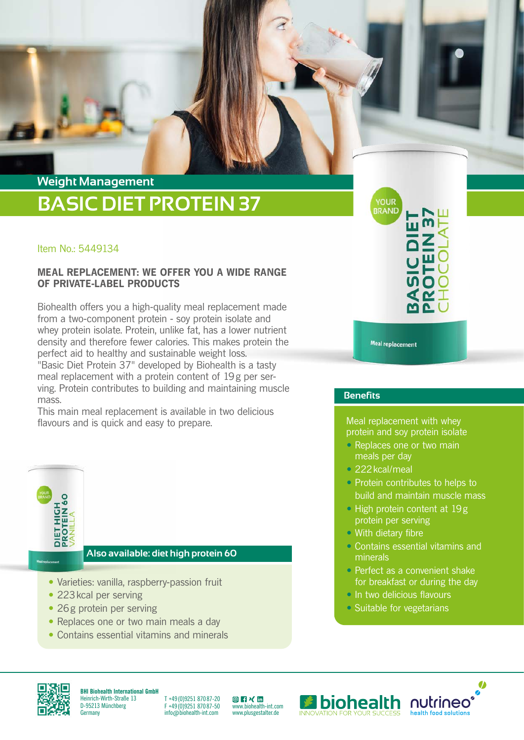# **BASIC DIET PROTEIN 37 Weight Management**

## Item No.: 5449134

## **MEAL REPLACEMENT: WE OFFER YOU A WIDE RANGE OF PRIVATE-LABEL PRODUCTS**

Biohealth offers you a high-quality meal replacement made from a two-component protein - soy protein isolate and whey protein isolate. Protein, unlike fat, has a lower nutrient density and therefore fewer calories. This makes protein the perfect aid to healthy and sustainable weight loss. "Basic Diet Protein 37" developed by Biohealth is a tasty meal replacement with a protein content of 19g per serving. Protein contributes to building and maintaining muscle mass.

This main meal replacement is available in two delicious flavours and is quick and easy to prepare.



**Also available: diet high protein 60**

- Varieties: vanilla, raspberry-passion fruit
- 223 kcal per serving
- 26g protein per serving
- Replaces one or two main meals a day
- Contains essential vitamins and minerals

**YOUR BRAND** 

**Meal replacement** 

## **Benefits**

Meal replacement with whey protein and soy protein isolate

- Replaces one or two main meals per day
- 222 kcal/meal
- Protein contributes to helps to build and maintain muscle mass
- High protein content at 19g protein per serving
- With dietary fibre
- Contains essential vitamins and minerals
- Perfect as a convenient shake for breakfast or during the day
- In two delicious flavours
- Suitable for vegetarians



**BHI Biohealth International GmbH** Heinrich-Wirth-Straße 13 D-95213 Münchberg **Germany** 

T +49 (0)9251 870 87-20 F +49 (0)9251 870 87-50 info@biohealth-int.com

[ww](https://www.instagram.com/biohealth.international/)[w.b](https://www.facebook.com/biohealth.international/)[iohe](https://www.xing.com/pages/biohealthinternationalgmbh)[alth-](https://www.linkedin.com/company/7256915/admin/)int.com www.plusgestalter.de